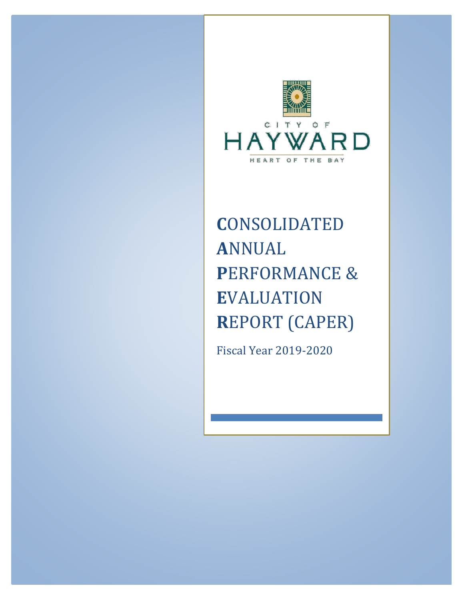

# **C**ONSOLIDATED **A**NNUAL **P**ERFORMANCE & **E**VALUATION **R**EPORT (CAPER)

Fiscal Year 2019-2020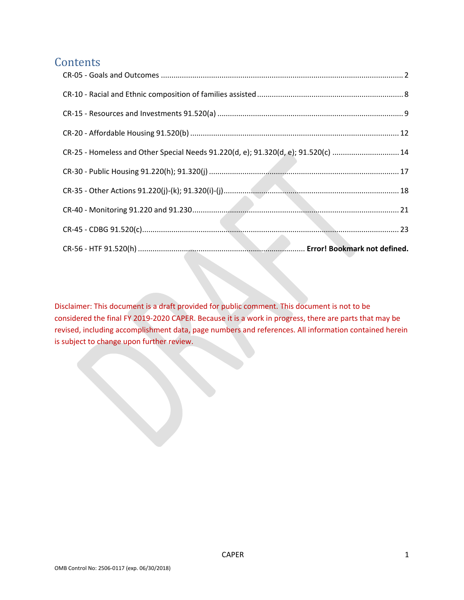# **Contents**

| CR-25 - Homeless and Other Special Needs 91.220(d, e); 91.320(d, e); 91.520(c)  14 |
|------------------------------------------------------------------------------------|
|                                                                                    |
|                                                                                    |
|                                                                                    |
|                                                                                    |
|                                                                                    |

<span id="page-1-0"></span>Disclaimer: This document is a draft provided for public comment. This document is not to be considered the final FY 2019-2020 CAPER. Because it is a work in progress, there are parts that may be revised, including accomplishment data, page numbers and references. All information contained herein is subject to change upon further review.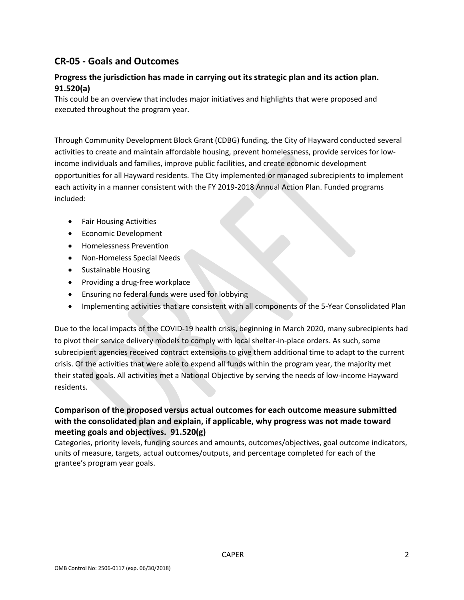# **CR-05 - Goals and Outcomes**

## **Progress the jurisdiction has made in carrying out its strategic plan and its action plan. 91.520(a)**

This could be an overview that includes major initiatives and highlights that were proposed and executed throughout the program year.

Through Community Development Block Grant (CDBG) funding, the City of Hayward conducted several activities to create and maintain affordable housing, prevent homelessness, provide services for lowincome individuals and families, improve public facilities, and create economic development opportunities for all Hayward residents. The City implemented or managed subrecipients to implement each activity in a manner consistent with the FY 2019-2018 Annual Action Plan. Funded programs included:

- Fair Housing Activities
- Economic Development
- Homelessness Prevention
- Non-Homeless Special Needs
- Sustainable Housing
- Providing a drug-free workplace
- Ensuring no federal funds were used for lobbying
- Implementing activities that are consistent with all components of the 5-Year Consolidated Plan

Due to the local impacts of the COVID-19 health crisis, beginning in March 2020, many subrecipients had to pivot their service delivery models to comply with local shelter-in-place orders. As such, some subrecipient agencies received contract extensions to give them additional time to adapt to the current crisis. Of the activities that were able to expend all funds within the program year, the majority met their stated goals. All activities met a National Objective by serving the needs of low-income Hayward residents.

## **Comparison of the proposed versus actual outcomes for each outcome measure submitted with the consolidated plan and explain, if applicable, why progress was not made toward meeting goals and objectives. 91.520(g)**

Categories, priority levels, funding sources and amounts, outcomes/objectives, goal outcome indicators, units of measure, targets, actual outcomes/outputs, and percentage completed for each of the grantee's program year goals.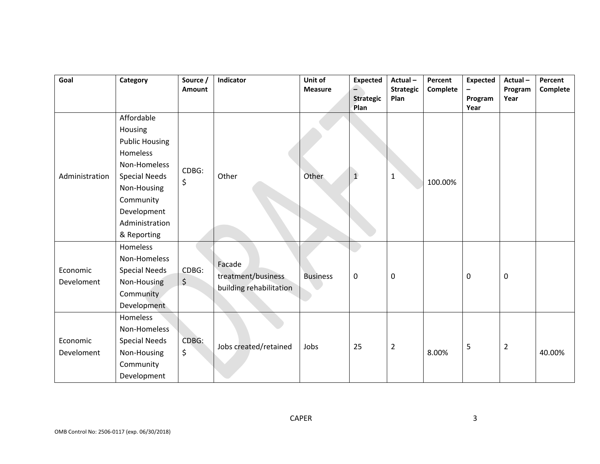| Goal                   | Category                                                                                                                                                                       | Source /<br>Amount | Indicator                                               | Unit of<br><b>Measure</b> | <b>Expected</b><br>$\equiv$<br><b>Strategic</b> | Actual-<br><b>Strategic</b><br>Plan | Percent<br>Complete | <b>Expected</b><br>Program | Actual-<br>Program<br>Year | Percent<br>Complete |
|------------------------|--------------------------------------------------------------------------------------------------------------------------------------------------------------------------------|--------------------|---------------------------------------------------------|---------------------------|-------------------------------------------------|-------------------------------------|---------------------|----------------------------|----------------------------|---------------------|
| Administration         | Affordable<br>Housing<br><b>Public Housing</b><br>Homeless<br>Non-Homeless<br><b>Special Needs</b><br>Non-Housing<br>Community<br>Development<br>Administration<br>& Reporting | CDBG:<br>\$        | Other                                                   | Other                     | Plan<br>$\mathbf{1}$                            | $1\,$                               | 100.00%             | Year                       |                            |                     |
| Economic<br>Develoment | Homeless<br>Non-Homeless<br><b>Special Needs</b><br>Non-Housing<br>Community<br>Development                                                                                    | CDBG:<br>$\zeta$   | Facade<br>treatment/business<br>building rehabilitation | <b>Business</b>           | $\pmb{0}$                                       | $\mathbf 0$                         |                     | 0                          | $\mathbf 0$                |                     |
| Economic<br>Develoment | Homeless<br>Non-Homeless<br><b>Special Needs</b><br>Non-Housing<br>Community<br>Development                                                                                    | CDBG:<br>\$        | Jobs created/retained                                   | Jobs                      | 25                                              | $\overline{2}$                      | 8.00%               | 5                          | $\overline{2}$             | 40.00%              |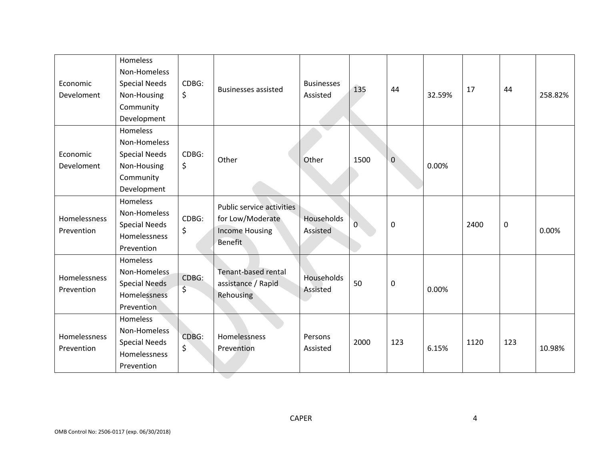| Economic<br>Develoment     | Homeless<br>Non-Homeless<br><b>Special Needs</b><br>Non-Housing<br>Community<br>Development | CDBG:<br>\$ | <b>Businesses assisted</b>                                                               | <b>Businesses</b><br>Assisted | 135            | 44             | 32.59% | 17   | 44  | 258.82% |
|----------------------------|---------------------------------------------------------------------------------------------|-------------|------------------------------------------------------------------------------------------|-------------------------------|----------------|----------------|--------|------|-----|---------|
| Economic<br>Develoment     | Homeless<br>Non-Homeless<br><b>Special Needs</b><br>Non-Housing<br>Community<br>Development | CDBG:<br>\$ | Other                                                                                    | Other                         | 1500           | $\overline{0}$ | 0.00%  |      |     |         |
| Homelessness<br>Prevention | Homeless<br>Non-Homeless<br><b>Special Needs</b><br>Homelessness<br>Prevention              | CDBG:<br>\$ | Public service activities<br>for Low/Moderate<br><b>Income Housing</b><br><b>Benefit</b> | Households<br>Assisted        | $\overline{0}$ | $\mathbf 0$    |        | 2400 | 0   | 0.00%   |
| Homelessness<br>Prevention | Homeless<br>Non-Homeless<br><b>Special Needs</b><br>Homelessness<br>Prevention              | CDBG:<br>\$ | Tenant-based rental<br>assistance / Rapid<br>Rehousing                                   | Households<br>Assisted        | 50             | $\pmb{0}$      | 0.00%  |      |     |         |
| Homelessness<br>Prevention | Homeless<br>Non-Homeless<br><b>Special Needs</b><br>Homelessness<br>Prevention              | CDBG:<br>\$ | Homelessness<br>Prevention                                                               | Persons<br>Assisted           | 2000           | 123            | 6.15%  | 1120 | 123 | 10.98%  |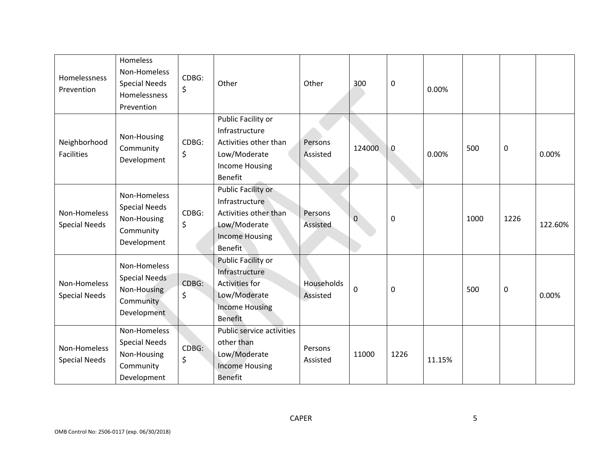| Homelessness<br>Prevention           | Homeless<br>Non-Homeless<br><b>Special Needs</b><br>Homelessness<br>Prevention  | CDBG:<br>\$      | Other                                                                                                                    | Other                  | 300         | 0    | 0.00%  |      |      |         |
|--------------------------------------|---------------------------------------------------------------------------------|------------------|--------------------------------------------------------------------------------------------------------------------------|------------------------|-------------|------|--------|------|------|---------|
| Neighborhood<br><b>Facilities</b>    | Non-Housing<br>Community<br>Development                                         | CDBG:<br>$\zeta$ | Public Facility or<br>Infrastructure<br>Activities other than<br>Low/Moderate<br><b>Income Housing</b><br>Benefit        | Persons<br>Assisted    | 124000      | 0    | 0.00%  | 500  | 0    | 0.00%   |
| Non-Homeless<br><b>Special Needs</b> | Non-Homeless<br><b>Special Needs</b><br>Non-Housing<br>Community<br>Development | CDBG:<br>\$      | Public Facility or<br>Infrastructure<br>Activities other than<br>Low/Moderate<br><b>Income Housing</b><br><b>Benefit</b> | Persons<br>Assisted    | $\pmb{0}$   | 0    |        | 1000 | 1226 | 122.60% |
| Non-Homeless<br><b>Special Needs</b> | Non-Homeless<br><b>Special Needs</b><br>Non-Housing<br>Community<br>Development | CDBG:<br>\$      | Public Facility or<br>Infrastructure<br>Activities for<br>Low/Moderate<br><b>Income Housing</b><br><b>Benefit</b>        | Households<br>Assisted | $\mathbf 0$ | 0    |        | 500  | 0    | 0.00%   |
| Non-Homeless<br><b>Special Needs</b> | Non-Homeless<br><b>Special Needs</b><br>Non-Housing<br>Community<br>Development | CDBG:<br>\$      | Public service activities<br>other than<br>Low/Moderate<br><b>Income Housing</b><br><b>Benefit</b>                       | Persons<br>Assisted    | 11000       | 1226 | 11.15% |      |      |         |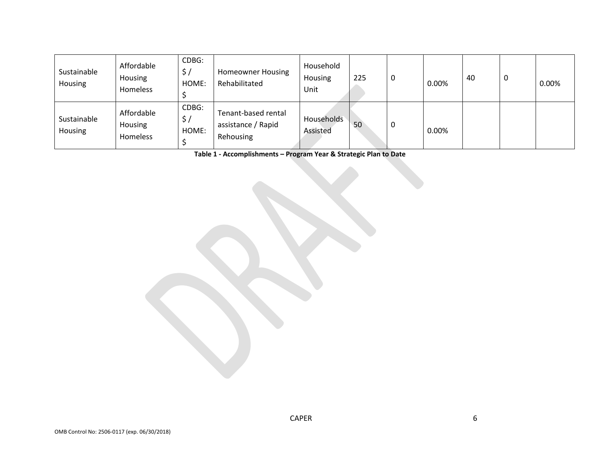| Sustainable<br>Housing | Affordable<br>Housing<br>Homeless | CDBG:<br>HOME:       | <b>Homeowner Housing</b><br>Rehabilitated              | Household<br>Housing<br>Unit | 225 | υ | $0.00\%$ | 40 | u | 0.00% |
|------------------------|-----------------------------------|----------------------|--------------------------------------------------------|------------------------------|-----|---|----------|----|---|-------|
| Sustainable<br>Housing | Affordable<br>Housing<br>Homeless | CDBG:<br>ゝ.<br>HOME: | Tenant-based rental<br>assistance / Rapid<br>Rehousing | Households<br>Assisted       | 50  | U | $0.00\%$ |    |   |       |

**Table 1 - Accomplishments – Program Year & Strategic Plan to Date**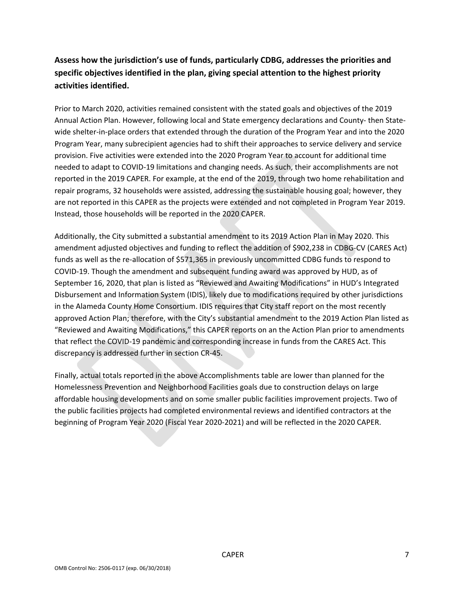# **Assess how the jurisdiction's use of funds, particularly CDBG, addresses the priorities and specific objectives identified in the plan, giving special attention to the highest priority activities identified.**

Prior to March 2020, activities remained consistent with the stated goals and objectives of the 2019 Annual Action Plan. However, following local and State emergency declarations and County- then Statewide shelter-in-place orders that extended through the duration of the Program Year and into the 2020 Program Year, many subrecipient agencies had to shift their approaches to service delivery and service provision. Five activities were extended into the 2020 Program Year to account for additional time needed to adapt to COVID-19 limitations and changing needs. As such, their accomplishments are not reported in the 2019 CAPER. For example, at the end of the 2019, through two home rehabilitation and repair programs, 32 households were assisted, addressing the sustainable housing goal; however, they are not reported in this CAPER as the projects were extended and not completed in Program Year 2019. Instead, those households will be reported in the 2020 CAPER.

Additionally, the City submitted a substantial amendment to its 2019 Action Plan in May 2020. This amendment adjusted objectives and funding to reflect the addition of \$902,238 in CDBG-CV (CARES Act) funds as well as the re-allocation of \$571,365 in previously uncommitted CDBG funds to respond to COVID-19. Though the amendment and subsequent funding award was approved by HUD, as of September 16, 2020, that plan is listed as "Reviewed and Awaiting Modifications" in HUD's Integrated Disbursement and Information System (IDIS), likely due to modifications required by other jurisdictions in the Alameda County Home Consortium. IDIS requires that City staff report on the most recently approved Action Plan; therefore, with the City's substantial amendment to the 2019 Action Plan listed as "Reviewed and Awaiting Modifications," this CAPER reports on an the Action Plan prior to amendments that reflect the COVID-19 pandemic and corresponding increase in funds from the CARES Act. This discrepancy is addressed further in section CR-45.

Finally, actual totals reported in the above Accomplishments table are lower than planned for the Homelessness Prevention and Neighborhood Facilities goals due to construction delays on large affordable housing developments and on some smaller public facilities improvement projects. Two of the public facilities projects had completed environmental reviews and identified contractors at the beginning of Program Year 2020 (Fiscal Year 2020-2021) and will be reflected in the 2020 CAPER.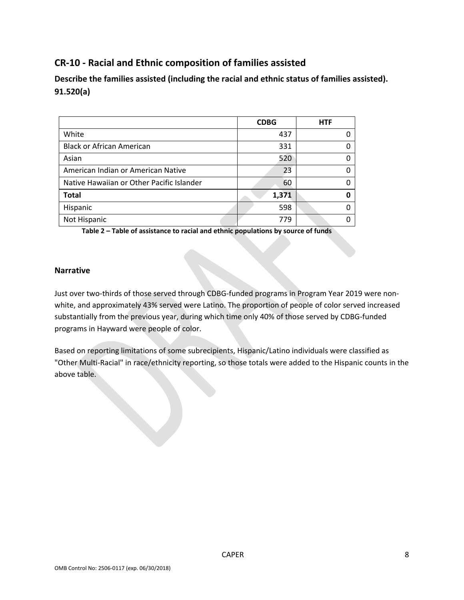# <span id="page-8-0"></span>**CR-10 - Racial and Ethnic composition of families assisted**

**Describe the families assisted (including the racial and ethnic status of families assisted). 91.520(a)** 

|                                           | <b>CDBG</b> | <b>HTF</b> |
|-------------------------------------------|-------------|------------|
| White                                     | 437         |            |
| <b>Black or African American</b>          | 331         |            |
| Asian                                     | 520         |            |
| American Indian or American Native        | 23          |            |
| Native Hawaiian or Other Pacific Islander | 60          |            |
| <b>Total</b>                              | 1,371       |            |
| Hispanic                                  | 598         |            |
| Not Hispanic                              | 779         |            |

**Table 2 – Table of assistance to racial and ethnic populations by source of funds**

#### **Narrative**

Just over two-thirds of those served through CDBG-funded programs in Program Year 2019 were nonwhite, and approximately 43% served were Latino. The proportion of people of color served increased substantially from the previous year, during which time only 40% of those served by CDBG-funded programs in Hayward were people of color.

Based on reporting limitations of some subrecipients, Hispanic/Latino individuals were classified as "Other Multi-Racial" in race/ethnicity reporting, so those totals were added to the Hispanic counts in the above table.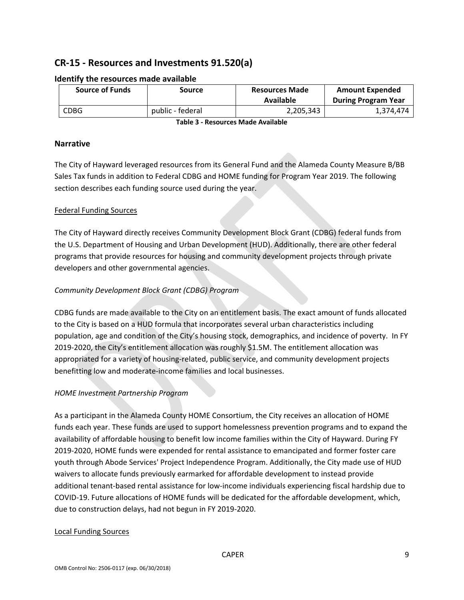# <span id="page-9-0"></span>**CR-15 - Resources and Investments 91.520(a)**

| <b>Source of Funds</b> | Source           | <b>Resources Made</b><br>Available | <b>Amount Expended</b><br><b>During Program Year</b> |  |
|------------------------|------------------|------------------------------------|------------------------------------------------------|--|
| <b>CDBG</b>            | public - federal | 2,205,343                          | 1,374,474                                            |  |

#### **Identify the resources made available**

**Table 3 - Resources Made Available**

#### **Narrative**

The City of Hayward leveraged resources from its General Fund and the Alameda County Measure B/BB Sales Tax funds in addition to Federal CDBG and HOME funding for Program Year 2019. The following section describes each funding source used during the year.

#### Federal Funding Sources

The City of Hayward directly receives Community Development Block Grant (CDBG) federal funds from the U.S. Department of Housing and Urban Development (HUD). Additionally, there are other federal programs that provide resources for housing and community development projects through private developers and other governmental agencies.

#### *Community Development Block Grant (CDBG) Program*

CDBG funds are made available to the City on an entitlement basis. The exact amount of funds allocated to the City is based on a HUD formula that incorporates several urban characteristics including population, age and condition of the City's housing stock, demographics, and incidence of poverty. In FY 2019-2020, the City's entitlement allocation was roughly \$1.5M. The entitlement allocation was appropriated for a variety of housing-related, public service, and community development projects benefitting low and moderate-income families and local businesses.

#### *HOME Investment Partnership Program*

As a participant in the Alameda County HOME Consortium, the City receives an allocation of HOME funds each year. These funds are used to support homelessness prevention programs and to expand the availability of affordable housing to benefit low income families within the City of Hayward. During FY 2019-2020, HOME funds were expended for rental assistance to emancipated and former foster care youth through Abode Services' Project Independence Program. Additionally, the City made use of HUD waivers to allocate funds previously earmarked for affordable development to instead provide additional tenant-based rental assistance for low-income individuals experiencing fiscal hardship due to COVID-19. Future allocations of HOME funds will be dedicated for the affordable development, which, due to construction delays, had not begun in FY 2019-2020.

#### Local Funding Sources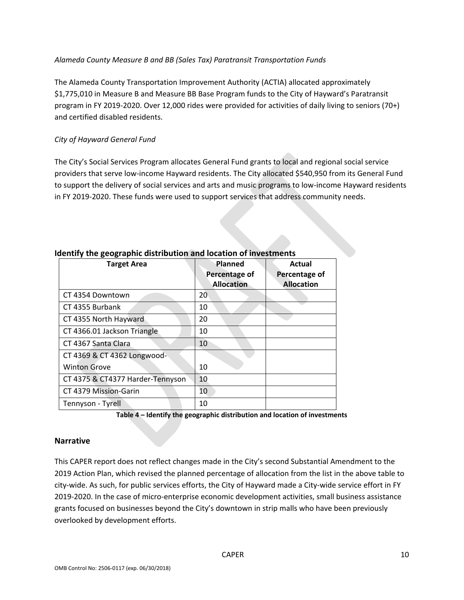#### *Alameda County Measure B and BB (Sales Tax) Paratransit Transportation Funds*

The Alameda County Transportation Improvement Authority (ACTIA) allocated approximately \$1,775,010 in Measure B and Measure BB Base Program funds to the City of Hayward's Paratransit program in FY 2019-2020. Over 12,000 rides were provided for activities of daily living to seniors (70+) and certified disabled residents.

#### *City of Hayward General Fund*

The City's Social Services Program allocates General Fund grants to local and regional social service providers that serve low-income Hayward residents. The City allocated \$540,950 from its General Fund to support the delivery of social services and arts and music programs to low-income Hayward residents in FY 2019-2020. These funds were used to support services that address community needs.

| <b>Target Area</b>               | Planned<br>Percentage of | Actual<br>Percentage of |  |  |
|----------------------------------|--------------------------|-------------------------|--|--|
|                                  | <b>Allocation</b>        | <b>Allocation</b>       |  |  |
| CT 4354 Downtown                 | 20                       |                         |  |  |
| CT 4355 Burbank                  | 10                       |                         |  |  |
| CT 4355 North Hayward            | 20                       |                         |  |  |
| CT 4366.01 Jackson Triangle      | 10                       |                         |  |  |
| CT 4367 Santa Clara              | 10                       |                         |  |  |
| CT 4369 & CT 4362 Longwood-      |                          |                         |  |  |
| <b>Winton Grove</b>              | 10                       |                         |  |  |
| CT 4375 & CT4377 Harder-Tennyson | 10                       |                         |  |  |
| CT 4379 Mission-Garin            | 10                       |                         |  |  |
| Tennyson - Tyrell                | 10                       |                         |  |  |

#### **Identify the geographic distribution and location of investments**

**Table 4 – Identify the geographic distribution and location of investments**

#### **Narrative**

This CAPER report does not reflect changes made in the City's second Substantial Amendment to the 2019 Action Plan, which revised the planned percentage of allocation from the list in the above table to city-wide. As such, for public services efforts, the City of Hayward made a City-wide service effort in FY 2019-2020. In the case of micro-enterprise economic development activities, small business assistance grants focused on businesses beyond the City's downtown in strip malls who have been previously overlooked by development efforts.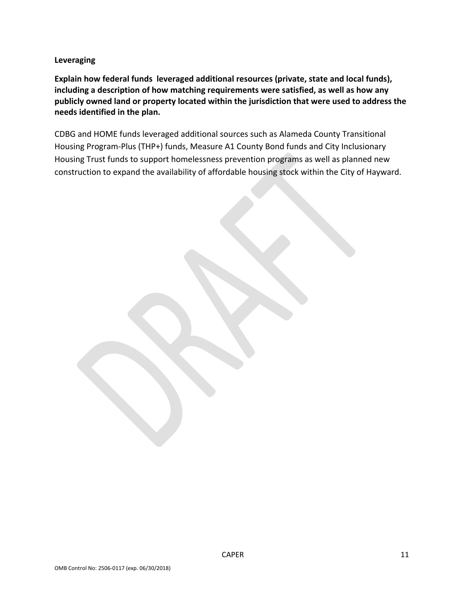**Leveraging**

**Explain how federal funds leveraged additional resources (private, state and local funds), including a description of how matching requirements were satisfied, as well as how any publicly owned land or property located within the jurisdiction that were used to address the needs identified in the plan.**

CDBG and HOME funds leveraged additional sources such as Alameda County Transitional Housing Program-Plus (THP+) funds, Measure A1 County Bond funds and City Inclusionary Housing Trust funds to support homelessness prevention programs as well as planned new construction to expand the availability of affordable housing stock within the City of Hayward.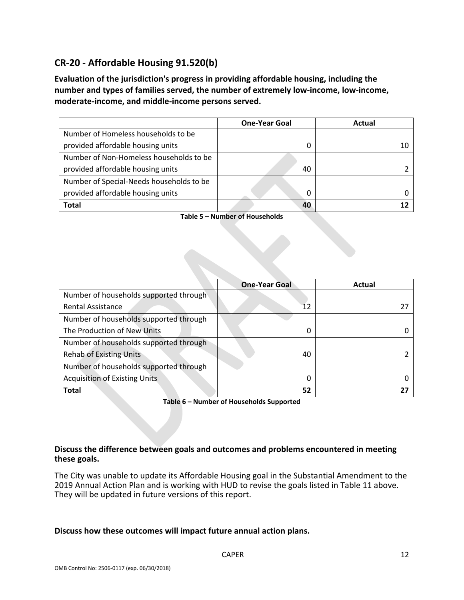# <span id="page-12-0"></span>**CR-20 - Affordable Housing 91.520(b)**

**Evaluation of the jurisdiction's progress in providing affordable housing, including the number and types of families served, the number of extremely low-income, low-income, moderate-income, and middle-income persons served.**

|                                          | <b>One-Year Goal</b> | Actual |
|------------------------------------------|----------------------|--------|
| Number of Homeless households to be      |                      |        |
| provided affordable housing units        | 0                    |        |
| Number of Non-Homeless households to be  |                      |        |
| provided affordable housing units        | 40                   |        |
| Number of Special-Needs households to be |                      |        |
| provided affordable housing units        | 0                    |        |
| <b>Total</b>                             | 40                   |        |

**Table 5 – Number of Households**

|                                        | <b>One-Year Goal</b> | Actual |
|----------------------------------------|----------------------|--------|
| Number of households supported through |                      |        |
| <b>Rental Assistance</b>               | 12                   |        |
| Number of households supported through |                      |        |
| The Production of New Units            | 0                    |        |
| Number of households supported through |                      |        |
| <b>Rehab of Existing Units</b>         | 40                   |        |
| Number of households supported through |                      |        |
| <b>Acquisition of Existing Units</b>   | 0                    |        |
| <b>Total</b>                           | 52                   |        |

**Table 6 – Number of Households Supported**

#### **Discuss the difference between goals and outcomes and problems encountered in meeting these goals.**

The City was unable to update its Affordable Housing goal in the Substantial Amendment to the 2019 Annual Action Plan and is working with HUD to revise the goals listed in Table 11 above. They will be updated in future versions of this report.

#### **Discuss how these outcomes will impact future annual action plans.**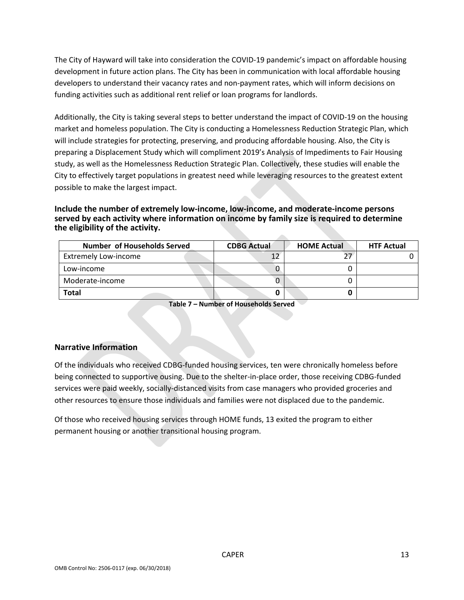The City of Hayward will take into consideration the COVID-19 pandemic's impact on affordable housing development in future action plans. The City has been in communication with local affordable housing developers to understand their vacancy rates and non-payment rates, which will inform decisions on funding activities such as additional rent relief or loan programs for landlords.

Additionally, the City is taking several steps to better understand the impact of COVID-19 on the housing market and homeless population. The City is conducting a Homelessness Reduction Strategic Plan, which will include strategies for protecting, preserving, and producing affordable housing. Also, the City is preparing a Displacement Study which will compliment 2019's Analysis of Impediments to Fair Housing study, as well as the Homelessness Reduction Strategic Plan. Collectively, these studies will enable the City to effectively target populations in greatest need while leveraging resources to the greatest extent possible to make the largest impact.

#### **Include the number of extremely low-income, low-income, and moderate-income persons served by each activity where information on income by family size is required to determine the eligibility of the activity.**

| <b>Number of Households Served</b> | <b>CDBG Actual</b> | <b>HOME Actual</b> | <b>HTF Actual</b> |
|------------------------------------|--------------------|--------------------|-------------------|
| <b>Extremely Low-income</b>        |                    |                    |                   |
| Low-income                         |                    |                    |                   |
| Moderate-income                    |                    |                    |                   |
| Total                              |                    |                    |                   |

 $\sim$ 

**Table 7 – Number of Households Served**

#### **Narrative Information**

Of the individuals who received CDBG-funded housing services, ten were chronically homeless before being connected to supportive ousing. Due to the shelter-in-place order, those receiving CDBG-funded services were paid weekly, socially-distanced visits from case managers who provided groceries and other resources to ensure those individuals and families were not displaced due to the pandemic.

Of those who received housing services through HOME funds, 13 exited the program to either permanent housing or another transitional housing program.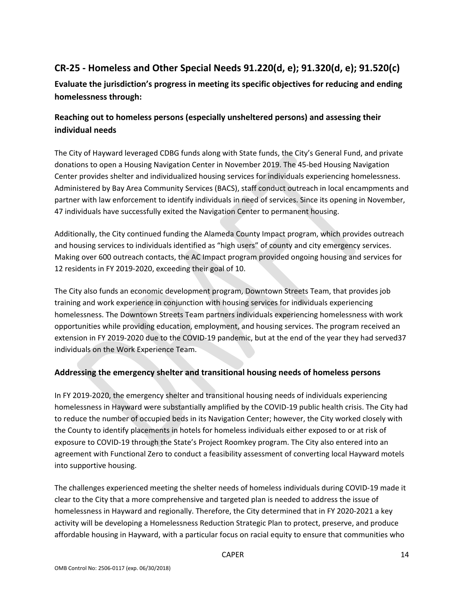# <span id="page-14-0"></span>**CR-25 - Homeless and Other Special Needs 91.220(d, e); 91.320(d, e); 91.520(c)**

**Evaluate the jurisdiction's progress in meeting its specific objectives for reducing and ending homelessness through:**

# **Reaching out to homeless persons (especially unsheltered persons) and assessing their individual needs**

The City of Hayward leveraged CDBG funds along with State funds, the City's General Fund, and private donations to open a Housing Navigation Center in November 2019. The 45-bed Housing Navigation Center provides shelter and individualized housing services for individuals experiencing homelessness. Administered by Bay Area Community Services (BACS), staff conduct outreach in local encampments and partner with law enforcement to identify individuals in need of services. Since its opening in November, 47 individuals have successfully exited the Navigation Center to permanent housing.

Additionally, the City continued funding the Alameda County Impact program, which provides outreach and housing services to individuals identified as "high users" of county and city emergency services. Making over 600 outreach contacts, the AC Impact program provided ongoing housing and services for 12 residents in FY 2019-2020, exceeding their goal of 10.

The City also funds an economic development program, Downtown Streets Team, that provides job training and work experience in conjunction with housing services for individuals experiencing homelessness. The Downtown Streets Team partners individuals experiencing homelessness with work opportunities while providing education, employment, and housing services. The program received an extension in FY 2019-2020 due to the COVID-19 pandemic, but at the end of the year they had served37 individuals on the Work Experience Team.

## **Addressing the emergency shelter and transitional housing needs of homeless persons**

In FY 2019-2020, the emergency shelter and transitional housing needs of individuals experiencing homelessness in Hayward were substantially amplified by the COVID-19 public health crisis. The City had to reduce the number of occupied beds in its Navigation Center; however, the City worked closely with the County to identify placements in hotels for homeless individuals either exposed to or at risk of exposure to COVID-19 through the State's Project Roomkey program. The City also entered into an agreement with Functional Zero to conduct a feasibility assessment of converting local Hayward motels into supportive housing.

The challenges experienced meeting the shelter needs of homeless individuals during COVID-19 made it clear to the City that a more comprehensive and targeted plan is needed to address the issue of homelessness in Hayward and regionally. Therefore, the City determined that in FY 2020-2021 a key activity will be developing a Homelessness Reduction Strategic Plan to protect, preserve, and produce affordable housing in Hayward, with a particular focus on racial equity to ensure that communities who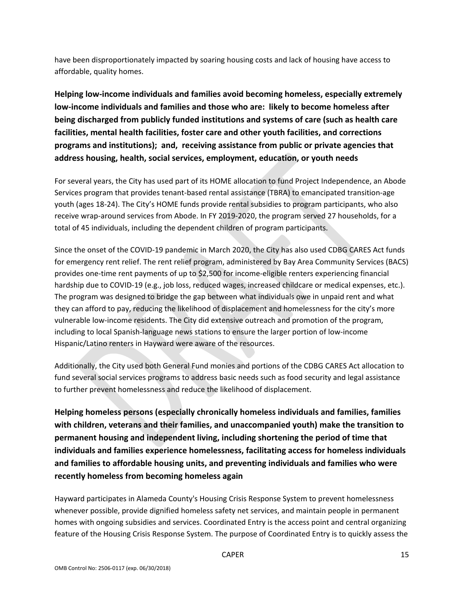have been disproportionately impacted by soaring housing costs and lack of housing have access to affordable, quality homes.

**Helping low-income individuals and families avoid becoming homeless, especially extremely low-income individuals and families and those who are: likely to become homeless after being discharged from publicly funded institutions and systems of care (such as health care facilities, mental health facilities, foster care and other youth facilities, and corrections programs and institutions); and, receiving assistance from public or private agencies that address housing, health, social services, employment, education, or youth needs**

For several years, the City has used part of its HOME allocation to fund Project Independence, an Abode Services program that provides tenant-based rental assistance (TBRA) to emancipated transition-age youth (ages 18-24). The City's HOME funds provide rental subsidies to program participants, who also receive wrap-around services from Abode. In FY 2019-2020, the program served 27 households, for a total of 45 individuals, including the dependent children of program participants.

Since the onset of the COVID-19 pandemic in March 2020, the City has also used CDBG CARES Act funds for emergency rent relief. The rent relief program, administered by Bay Area Community Services (BACS) provides one-time rent payments of up to \$2,500 for income-eligible renters experiencing financial hardship due to COVID-19 (e.g., job loss, reduced wages, increased childcare or medical expenses, etc.). The program was designed to bridge the gap between what individuals owe in unpaid rent and what they can afford to pay, reducing the likelihood of displacement and homelessness for the city's more vulnerable low-income residents. The City did extensive outreach and promotion of the program, including to local Spanish-language news stations to ensure the larger portion of low-income Hispanic/Latino renters in Hayward were aware of the resources.

Additionally, the City used both General Fund monies and portions of the CDBG CARES Act allocation to fund several social services programs to address basic needs such as food security and legal assistance to further prevent homelessness and reduce the likelihood of displacement.

**Helping homeless persons (especially chronically homeless individuals and families, families with children, veterans and their families, and unaccompanied youth) make the transition to permanent housing and independent living, including shortening the period of time that individuals and families experience homelessness, facilitating access for homeless individuals and families to affordable housing units, and preventing individuals and families who were recently homeless from becoming homeless again**

Hayward participates in Alameda County's Housing Crisis Response System to prevent homelessness whenever possible, provide dignified homeless safety net services, and maintain people in permanent homes with ongoing subsidies and services. Coordinated Entry is the access point and central organizing feature of the Housing Crisis Response System. The purpose of Coordinated Entry is to quickly assess the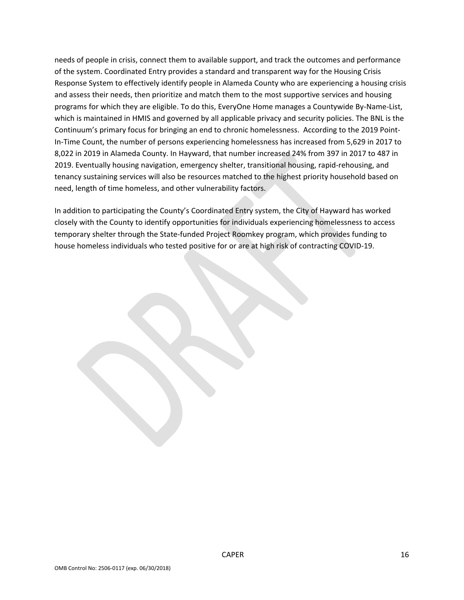needs of people in crisis, connect them to available support, and track the outcomes and performance of the system. Coordinated Entry provides a standard and transparent way for the Housing Crisis Response System to effectively identify people in Alameda County who are experiencing a housing crisis and assess their needs, then prioritize and match them to the most supportive services and housing programs for which they are eligible. To do this, EveryOne Home manages a Countywide By-Name-List, which is maintained in HMIS and governed by all applicable privacy and security policies. The BNL is the Continuum's primary focus for bringing an end to chronic homelessness. According to the 2019 Point-In-Time Count, the number of persons experiencing homelessness has increased from 5,629 in 2017 to 8,022 in 2019 in Alameda County. In Hayward, that number increased 24% from 397 in 2017 to 487 in 2019. Eventually housing navigation, emergency shelter, transitional housing, rapid-rehousing, and tenancy sustaining services will also be resources matched to the highest priority household based on need, length of time homeless, and other vulnerability factors.

In addition to participating the County's Coordinated Entry system, the City of Hayward has worked closely with the County to identify opportunities for individuals experiencing homelessness to access temporary shelter through the State-funded Project Roomkey program, which provides funding to house homeless individuals who tested positive for or are at high risk of contracting COVID-19.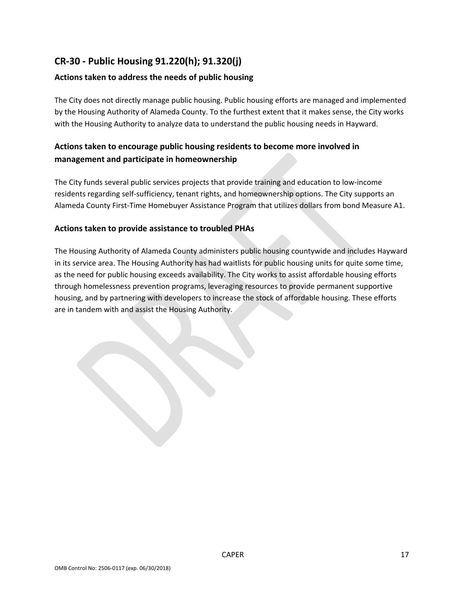# <span id="page-17-0"></span>**CR-30 - Public Housing 91.220(h); 91.320(j)**

## **Actions taken to address the needs of public housing**

The City does not directly manage public housing. Public housing efforts are managed and implemented by the Housing Authority of Alameda County. To the furthest extent that it makes sense, the City works with the Housing Authority to analyze data to understand the public housing needs in Hayward.

## **Actions taken to encourage public housing residents to become more involved in management and participate in homeownership**

The City funds several public services projects that provide training and education to low-income residents regarding self-sufficiency, tenant rights, and homeownership options. The City supports an Alameda County First-Time Homebuyer Assistance Program that utilizes dollars from bond Measure A1.

#### **Actions taken to provide assistance to troubled PHAs**

The Housing Authority of Alameda County administers public housing countywide and includes Hayward in its service area. The Housing Authority has had waitlists for public housing units for quite some time, as the need for public housing exceeds availability. The City works to assist affordable housing efforts through homelessness prevention programs, leveraging resources to provide permanent supportive housing, and by partnering with developers to increase the stock of affordable housing. These efforts are in tandem with and assist the Housing Authority.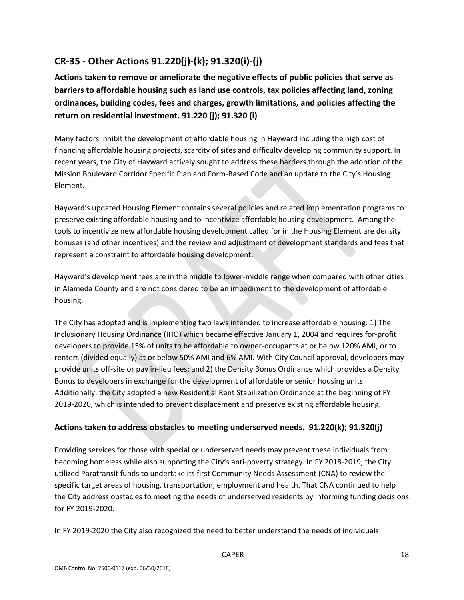# <span id="page-18-0"></span>**CR-35 - Other Actions 91.220(j)-(k); 91.320(i)-(j)**

**Actions taken to remove or ameliorate the negative effects of public policies that serve as barriers to affordable housing such as land use controls, tax policies affecting land, zoning ordinances, building codes, fees and charges, growth limitations, and policies affecting the return on residential investment. 91.220 (j); 91.320 (i)**

Many factors inhibit the development of affordable housing in Hayward including the high cost of financing affordable housing projects, scarcity of sites and difficulty developing community support. In recent years, the City of Hayward actively sought to address these barriers through the adoption of the Mission Boulevard Corridor Specific Plan and Form-Based Code and an update to the City's Housing Element.

Hayward's updated Housing Element contains several policies and related implementation programs to preserve existing affordable housing and to incentivize affordable housing development. Among the tools to incentivize new affordable housing development called for in the Housing Element are density bonuses (and other incentives) and the review and adjustment of development standards and fees that represent a constraint to affordable housing development.

Hayward's development fees are in the middle to lower-middle range when compared with other cities in Alameda County and are not considered to be an impediment to the development of affordable housing.

The City has adopted and is implementing two laws intended to increase affordable housing: 1) The Inclusionary Housing Ordinance (IHO) which became effective January 1, 2004 and requires for-profit developers to provide 15% of units to be affordable to owner-occupants at or below 120% AMI, or to renters (divided equally) at or below 50% AMI and 6% AMI. With City Council approval, developers may provide units off-site or pay in-lieu fees; and 2) the Density Bonus Ordinance which provides a Density Bonus to developers in exchange for the development of affordable or senior housing units. Additionally, the City adopted a new Residential Rent Stabilization Ordinance at the beginning of FY 2019-2020, which is intended to prevent displacement and preserve existing affordable housing.

## **Actions taken to address obstacles to meeting underserved needs. 91.220(k); 91.320(j)**

Providing services for those with special or underserved needs may prevent these individuals from becoming homeless while also supporting the City's anti-poverty strategy. In FY 2018-2019, the City utilized Paratransit funds to undertake its first Community Needs Assessment (CNA) to review the specific target areas of housing, transportation, employment and health. That CNA continued to help the City address obstacles to meeting the needs of underserved residents by informing funding decisions for FY 2019-2020.

In FY 2019-2020 the City also recognized the need to better understand the needs of individuals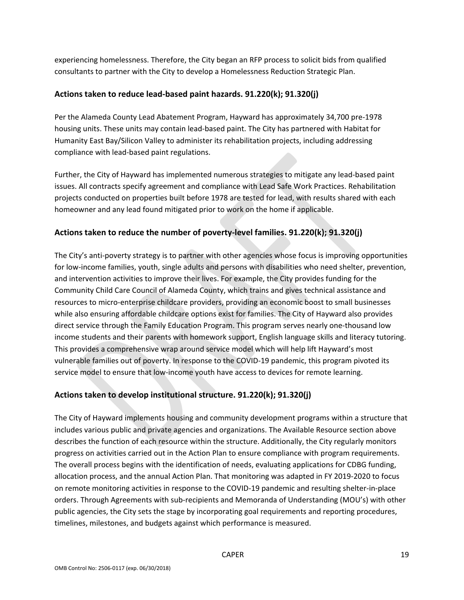experiencing homelessness. Therefore, the City began an RFP process to solicit bids from qualified consultants to partner with the City to develop a Homelessness Reduction Strategic Plan.

#### **Actions taken to reduce lead-based paint hazards. 91.220(k); 91.320(j)**

Per the Alameda County Lead Abatement Program, Hayward has approximately 34,700 pre-1978 housing units. These units may contain lead-based paint. The City has partnered with Habitat for Humanity East Bay/Silicon Valley to administer its rehabilitation projects, including addressing compliance with lead-based paint regulations.

Further, the City of Hayward has implemented numerous strategies to mitigate any lead-based paint issues. All contracts specify agreement and compliance with Lead Safe Work Practices. Rehabilitation projects conducted on properties built before 1978 are tested for lead, with results shared with each homeowner and any lead found mitigated prior to work on the home if applicable.

## **Actions taken to reduce the number of poverty-level families. 91.220(k); 91.320(j)**

The City's anti-poverty strategy is to partner with other agencies whose focus is improving opportunities for low-income families, youth, single adults and persons with disabilities who need shelter, prevention, and intervention activities to improve their lives. For example, the City provides funding for the Community Child Care Council of Alameda County, which trains and gives technical assistance and resources to micro-enterprise childcare providers, providing an economic boost to small businesses while also ensuring affordable childcare options exist for families. The City of Hayward also provides direct service through the Family Education Program. This program serves nearly one-thousand low income students and their parents with homework support, English language skills and literacy tutoring. This provides a comprehensive wrap around service model which will help lift Hayward's most vulnerable families out of poverty. In response to the COVID-19 pandemic, this program pivoted its service model to ensure that low-income youth have access to devices for remote learning.

## **Actions taken to develop institutional structure. 91.220(k); 91.320(j)**

The City of Hayward implements housing and community development programs within a structure that includes various public and private agencies and organizations. The Available Resource section above describes the function of each resource within the structure. Additionally, the City regularly monitors progress on activities carried out in the Action Plan to ensure compliance with program requirements. The overall process begins with the identification of needs, evaluating applications for CDBG funding, allocation process, and the annual Action Plan. That monitoring was adapted in FY 2019-2020 to focus on remote monitoring activities in response to the COVID-19 pandemic and resulting shelter-in-place orders. Through Agreements with sub-recipients and Memoranda of Understanding (MOU's) with other public agencies, the City sets the stage by incorporating goal requirements and reporting procedures, timelines, milestones, and budgets against which performance is measured.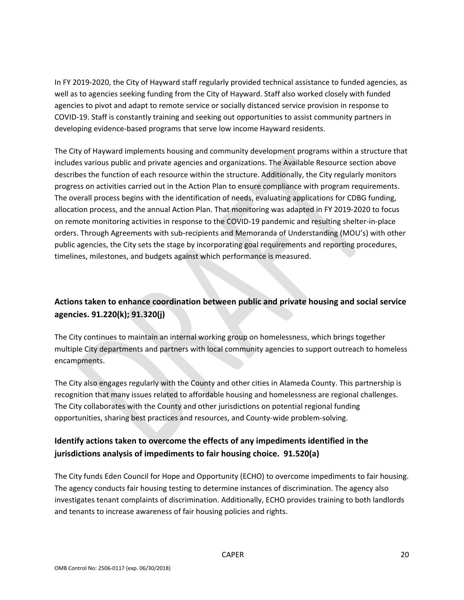In FY 2019-2020, the City of Hayward staff regularly provided technical assistance to funded agencies, as well as to agencies seeking funding from the City of Hayward. Staff also worked closely with funded agencies to pivot and adapt to remote service or socially distanced service provision in response to COVID-19. Staff is constantly training and seeking out opportunities to assist community partners in developing evidence-based programs that serve low income Hayward residents.

The City of Hayward implements housing and community development programs within a structure that includes various public and private agencies and organizations. The Available Resource section above describes the function of each resource within the structure. Additionally, the City regularly monitors progress on activities carried out in the Action Plan to ensure compliance with program requirements. The overall process begins with the identification of needs, evaluating applications for CDBG funding, allocation process, and the annual Action Plan. That monitoring was adapted in FY 2019-2020 to focus on remote monitoring activities in response to the COVID-19 pandemic and resulting shelter-in-place orders. Through Agreements with sub-recipients and Memoranda of Understanding (MOU's) with other public agencies, the City sets the stage by incorporating goal requirements and reporting procedures, timelines, milestones, and budgets against which performance is measured.

## **Actions taken to enhance coordination between public and private housing and social service agencies. 91.220(k); 91.320(j)**

The City continues to maintain an internal working group on homelessness, which brings together multiple City departments and partners with local community agencies to support outreach to homeless encampments.

The City also engages regularly with the County and other cities in Alameda County. This partnership is recognition that many issues related to affordable housing and homelessness are regional challenges. The City collaborates with the County and other jurisdictions on potential regional funding opportunities, sharing best practices and resources, and County-wide problem-solving.

## **Identify actions taken to overcome the effects of any impediments identified in the jurisdictions analysis of impediments to fair housing choice. 91.520(a)**

The City funds Eden Council for Hope and Opportunity (ECHO) to overcome impediments to fair housing. The agency conducts fair housing testing to determine instances of discrimination. The agency also investigates tenant complaints of discrimination. Additionally, ECHO provides training to both landlords and tenants to increase awareness of fair housing policies and rights.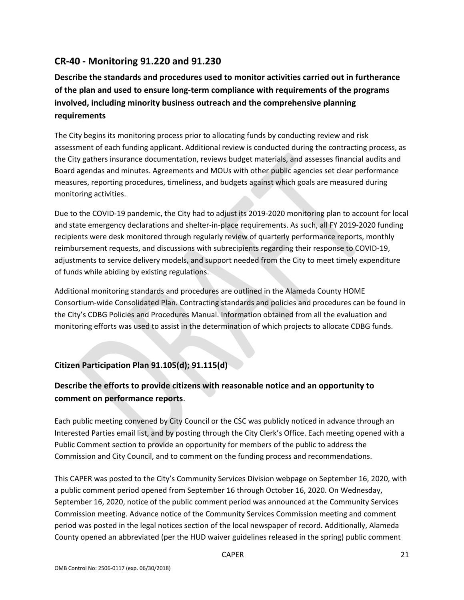# <span id="page-21-0"></span>**CR-40 - Monitoring 91.220 and 91.230**

**Describe the standards and procedures used to monitor activities carried out in furtherance of the plan and used to ensure long-term compliance with requirements of the programs involved, including minority business outreach and the comprehensive planning requirements**

The City begins its monitoring process prior to allocating funds by conducting review and risk assessment of each funding applicant. Additional review is conducted during the contracting process, as the City gathers insurance documentation, reviews budget materials, and assesses financial audits and Board agendas and minutes. Agreements and MOUs with other public agencies set clear performance measures, reporting procedures, timeliness, and budgets against which goals are measured during monitoring activities.

Due to the COVID-19 pandemic, the City had to adjust its 2019-2020 monitoring plan to account for local and state emergency declarations and shelter-in-place requirements. As such, all FY 2019-2020 funding recipients were desk monitored through regularly review of quarterly performance reports, monthly reimbursement requests, and discussions with subrecipients regarding their response to COVID-19, adjustments to service delivery models, and support needed from the City to meet timely expenditure of funds while abiding by existing regulations.

Additional monitoring standards and procedures are outlined in the Alameda County HOME Consortium-wide Consolidated Plan. Contracting standards and policies and procedures can be found in the City's CDBG Policies and Procedures Manual. Information obtained from all the evaluation and monitoring efforts was used to assist in the determination of which projects to allocate CDBG funds.

## **Citizen Participation Plan 91.105(d); 91.115(d)**

# **Describe the efforts to provide citizens with reasonable notice and an opportunity to comment on performance reports**.

Each public meeting convened by City Council or the CSC was publicly noticed in advance through an Interested Parties email list, and by posting through the City Clerk's Office. Each meeting opened with a Public Comment section to provide an opportunity for members of the public to address the Commission and City Council, and to comment on the funding process and recommendations.

This CAPER was posted to the City's Community Services Division webpage on September 16, 2020, with a public comment period opened from September 16 through October 16, 2020. On Wednesday, September 16, 2020, notice of the public comment period was announced at the Community Services Commission meeting. Advance notice of the Community Services Commission meeting and comment period was posted in the legal notices section of the local newspaper of record. Additionally, Alameda County opened an abbreviated (per the HUD waiver guidelines released in the spring) public comment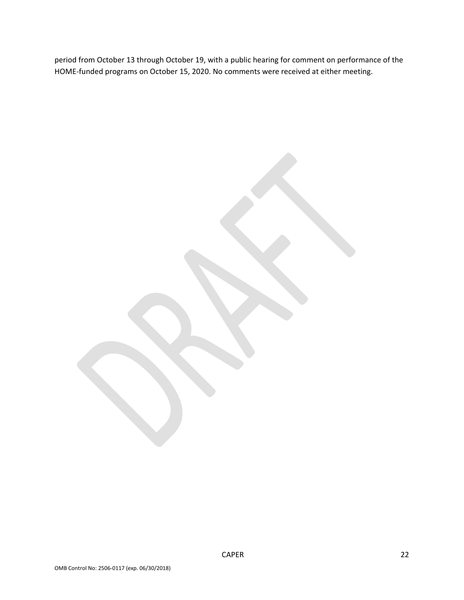period from October 13 through October 19, with a public hearing for comment on performance of the HOME-funded programs on October 15, 2020. No comments were received at either meeting.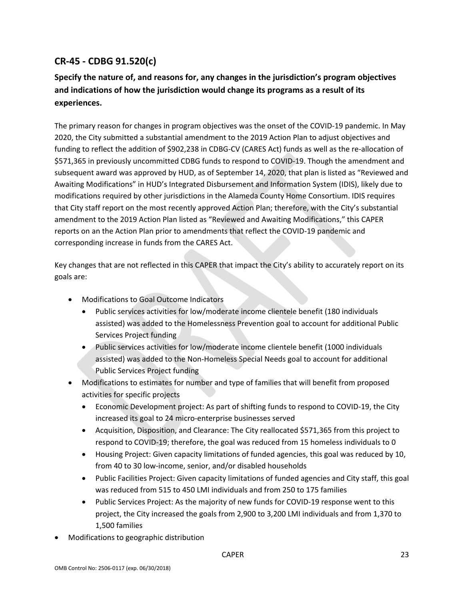# <span id="page-23-0"></span>**CR-45 - CDBG 91.520(c)**

# **Specify the nature of, and reasons for, any changes in the jurisdiction's program objectives and indications of how the jurisdiction would change its programs as a result of its experiences.**

The primary reason for changes in program objectives was the onset of the COVID-19 pandemic. In May 2020, the City submitted a substantial amendment to the 2019 Action Plan to adjust objectives and funding to reflect the addition of \$902,238 in CDBG-CV (CARES Act) funds as well as the re-allocation of \$571,365 in previously uncommitted CDBG funds to respond to COVID-19. Though the amendment and subsequent award was approved by HUD, as of September 14, 2020, that plan is listed as "Reviewed and Awaiting Modifications" in HUD's Integrated Disbursement and Information System (IDIS), likely due to modifications required by other jurisdictions in the Alameda County Home Consortium. IDIS requires that City staff report on the most recently approved Action Plan; therefore, with the City's substantial amendment to the 2019 Action Plan listed as "Reviewed and Awaiting Modifications," this CAPER reports on an the Action Plan prior to amendments that reflect the COVID-19 pandemic and corresponding increase in funds from the CARES Act.

Key changes that are not reflected in this CAPER that impact the City's ability to accurately report on its goals are:

- Modifications to Goal Outcome Indicators
	- Public services activities for low/moderate income clientele benefit (180 individuals assisted) was added to the Homelessness Prevention goal to account for additional Public Services Project funding
	- Public services activities for low/moderate income clientele benefit (1000 individuals assisted) was added to the Non-Homeless Special Needs goal to account for additional Public Services Project funding
- Modifications to estimates for number and type of families that will benefit from proposed activities for specific projects
	- Economic Development project: As part of shifting funds to respond to COVID-19, the City increased its goal to 24 micro-enterprise businesses served
	- Acquisition, Disposition, and Clearance: The City reallocated \$571,365 from this project to respond to COVID-19; therefore, the goal was reduced from 15 homeless individuals to 0
	- Housing Project: Given capacity limitations of funded agencies, this goal was reduced by 10, from 40 to 30 low-income, senior, and/or disabled households
	- Public Facilities Project: Given capacity limitations of funded agencies and City staff, this goal was reduced from 515 to 450 LMI individuals and from 250 to 175 families
	- Public Services Project: As the majority of new funds for COVID-19 response went to this project, the City increased the goals from 2,900 to 3,200 LMI individuals and from 1,370 to 1,500 families
- Modifications to geographic distribution